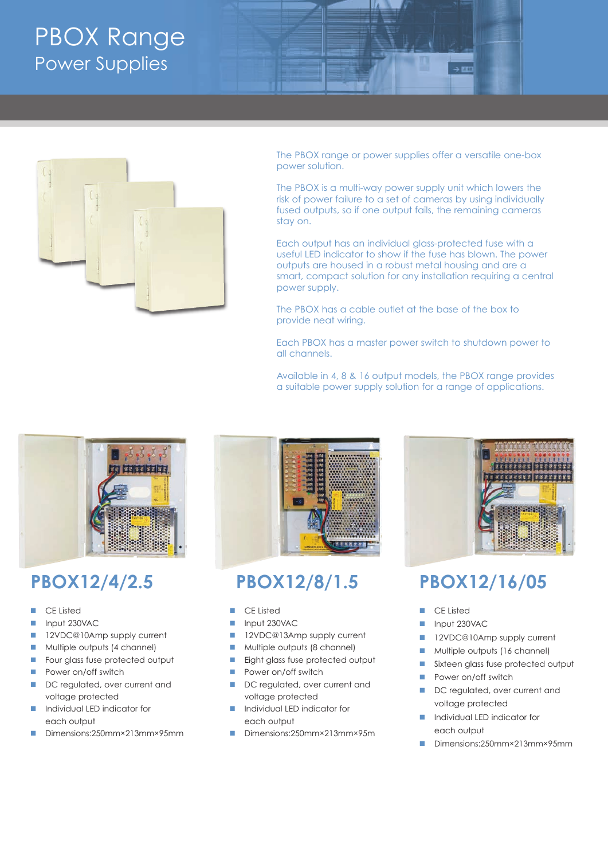# PBOX Range Power Supplies



The PBOX range or power supplies offer a versatile one-box power solution.

The PBOX is a multi-way power supply unit which lowers the risk of power failure to a set of cameras by using individually fused outputs, so if one output fails, the remaining cameras stay on.

Each output has an individual glass-protected fuse with a useful LED indicator to show if the fuse has blown. The power outputs are housed in a robust metal housing and are a smart, compact solution for any installation requiring a central power supply.

The PBOX has a cable outlet at the base of the box to provide neat wiring.

Each PBOX has a master power switch to shutdown power to all channels.

Available in 4, 8 & 16 output models, the PBOX range provides a suitable power supply solution for a range of applications.



## **PBOX12/4/2.5**

- CE Listed
- nput 230VAC
- **n** 12VDC@10Amp supply current
- **n** Multiple outputs (4 channel)
- **n** Four glass fuse protected output
- **n** Power on/off switch
- DC regulated, over current and voltage protected
- **n** Individual LED indicator for each output
- Dimensions:250mm×213mm×95mm



### **PBOX12/8/1.5**

- CE Listed
- Input 230VAC
- 12VDC@13Amp supply current
- **n** Multiple outputs (8 channel)
- Eight glass fuse protected output
- **n** Power on/off switch
- DC regulated, over current and voltage protected
- n Individual LED indicator for each output
- n Dimensions:250mm×213mm×95m



### **PBOX12/16/05**

- CE Listed
- n Input 230VAC
- 12VDC@10Amp supply current
- n Multiple outputs (16 channel)
- sixteen glass fuse protected output
- **n** Power on/off switch
- DC regulated, over current and voltage protected
- **n** Individual LED indicator for each output
- n Dimensions:250mm×213mm×95mm